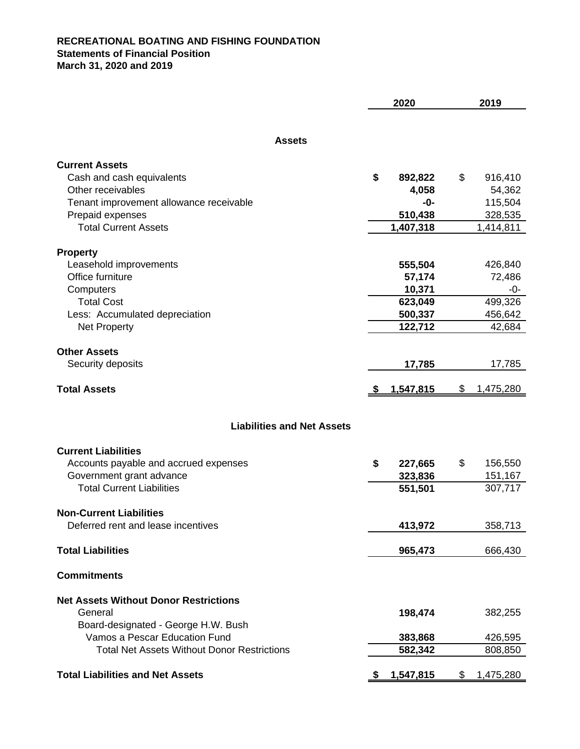## **RECREATIONAL BOATING AND FISHING FOUNDATION Statements of Financial Position March 31, 2020 and 2019**

|                                                    | 2020 |                  | 2019            |  |
|----------------------------------------------------|------|------------------|-----------------|--|
|                                                    |      |                  |                 |  |
| <b>Assets</b>                                      |      |                  |                 |  |
| <b>Current Assets</b>                              |      |                  |                 |  |
| Cash and cash equivalents                          | \$   | 892,822          | \$<br>916,410   |  |
| Other receivables                                  |      | 4,058            | 54,362          |  |
| Tenant improvement allowance receivable            |      | -0-              | 115,504         |  |
| Prepaid expenses                                   |      | 510,438          | 328,535         |  |
| <b>Total Current Assets</b>                        |      | 1,407,318        | 1,414,811       |  |
|                                                    |      |                  |                 |  |
| <b>Property</b>                                    |      |                  |                 |  |
| Leasehold improvements                             |      | 555,504          | 426,840         |  |
| Office furniture                                   |      | 57,174           | 72,486          |  |
| Computers                                          |      | 10,371           | -0-             |  |
| <b>Total Cost</b>                                  |      | 623,049          | 499,326         |  |
| Less: Accumulated depreciation                     |      | 500,337          | 456,642         |  |
| Net Property                                       |      | 122,712          | 42,684          |  |
|                                                    |      |                  |                 |  |
| <b>Other Assets</b>                                |      |                  |                 |  |
| Security deposits                                  |      | 17,785           | 17,785          |  |
| <b>Total Assets</b>                                |      | <u>1,547,815</u> | \$<br>1,475,280 |  |
|                                                    |      |                  |                 |  |
| <b>Liabilities and Net Assets</b>                  |      |                  |                 |  |
|                                                    |      |                  |                 |  |
| <b>Current Liabilities</b>                         |      |                  |                 |  |
| Accounts payable and accrued expenses              | \$   | 227,665          | \$<br>156,550   |  |
| Government grant advance                           |      | 323,836          | 151,167         |  |
| <b>Total Current Liabilities</b>                   |      | 551,501          | 307,717         |  |
|                                                    |      |                  |                 |  |
| <b>Non-Current Liabilities</b>                     |      |                  |                 |  |
| Deferred rent and lease incentives                 |      | 413,972          | 358,713         |  |
| <b>Total Liabilities</b>                           |      | 965,473          | 666,430         |  |
|                                                    |      |                  |                 |  |
| <b>Commitments</b>                                 |      |                  |                 |  |
| <b>Net Assets Without Donor Restrictions</b>       |      |                  |                 |  |
| General                                            |      | 198,474          | 382,255         |  |
| Board-designated - George H.W. Bush                |      |                  |                 |  |
| Vamos a Pescar Education Fund                      |      | 383,868          | 426,595         |  |
| <b>Total Net Assets Without Donor Restrictions</b> |      | 582,342          | 808,850         |  |
|                                                    |      |                  |                 |  |
| <b>Total Liabilities and Net Assets</b>            | S.   | 1,547,815        | \$<br>1,475,280 |  |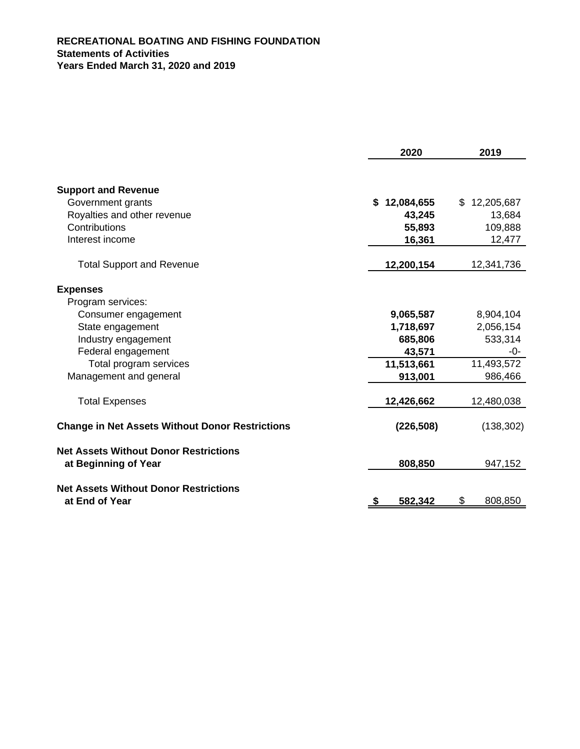## **RECREATIONAL BOATING AND FISHING FOUNDATION Statements of Activities Years Ended March 31, 2020 and 2019**

|                                                        | 2020             | 2019             |  |
|--------------------------------------------------------|------------------|------------------|--|
|                                                        |                  |                  |  |
| <b>Support and Revenue</b>                             |                  |                  |  |
| Government grants                                      | 12,084,655<br>\$ | 12,205,687<br>\$ |  |
| Royalties and other revenue                            | 43,245           | 13,684           |  |
| Contributions                                          | 55,893           | 109,888          |  |
| Interest income                                        | 16,361           | 12,477           |  |
| <b>Total Support and Revenue</b>                       | 12,200,154       | 12,341,736       |  |
| <b>Expenses</b>                                        |                  |                  |  |
| Program services:                                      |                  |                  |  |
| Consumer engagement                                    | 9,065,587        | 8,904,104        |  |
| State engagement                                       | 1,718,697        | 2,056,154        |  |
| Industry engagement                                    | 685,806          | 533,314          |  |
| Federal engagement                                     | 43,571           | -0-              |  |
| Total program services                                 | 11,513,661       | 11,493,572       |  |
| Management and general                                 | 913,001          | 986,466          |  |
| <b>Total Expenses</b>                                  | 12,426,662       | 12,480,038       |  |
| <b>Change in Net Assets Without Donor Restrictions</b> | (226, 508)       | (138, 302)       |  |
| <b>Net Assets Without Donor Restrictions</b>           |                  |                  |  |
| at Beginning of Year                                   | 808,850          | 947,152          |  |
| <b>Net Assets Without Donor Restrictions</b>           |                  |                  |  |
| at End of Year                                         | 582,342<br>\$    | \$<br>808,850    |  |